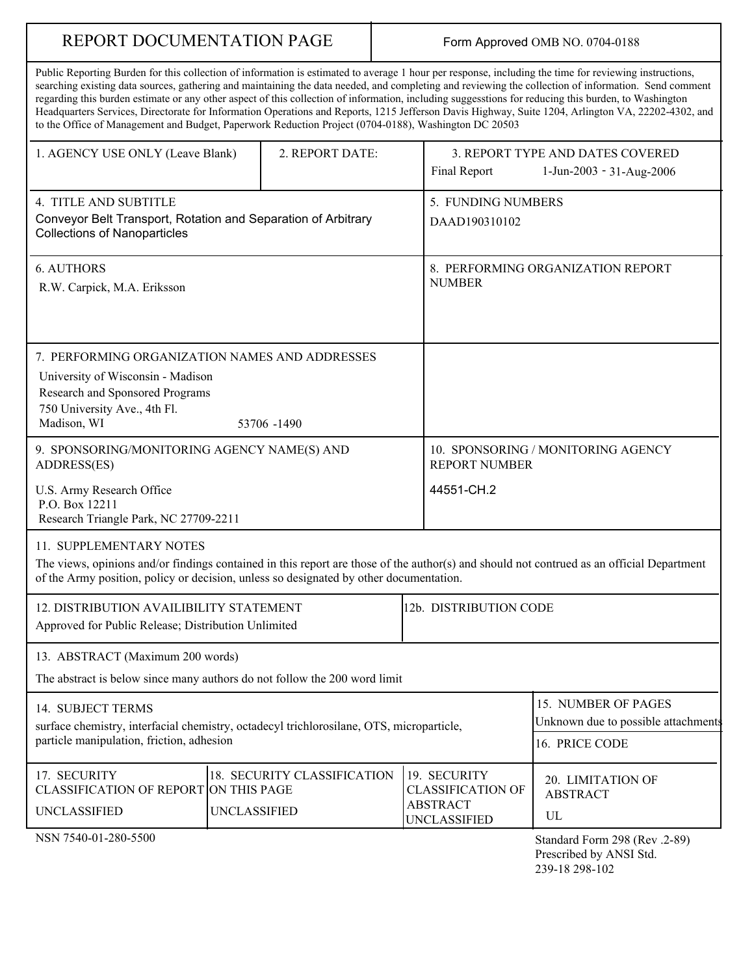# REPORT DOCUMENTATION PAGE

# Form Approved OMB NO. 0704-0188

| IVERVIVE DVASORIERI ATTIVIN LAVIE                                                                                                                                                                                                                                                                                                                                                                                      |                                                    |  |                                                                              | <b>I</b> UIIII ApplOVED ONID INO. 0704-0100                                                                                                                                                                                                                                                                |
|------------------------------------------------------------------------------------------------------------------------------------------------------------------------------------------------------------------------------------------------------------------------------------------------------------------------------------------------------------------------------------------------------------------------|----------------------------------------------------|--|------------------------------------------------------------------------------|------------------------------------------------------------------------------------------------------------------------------------------------------------------------------------------------------------------------------------------------------------------------------------------------------------|
| Public Reporting Burden for this collection of information is estimated to average 1 hour per response, including the time for reviewing instructions,<br>regarding this burden estimate or any other aspect of this collection of information, including suggesstions for reducing this burden, to Washington<br>to the Office of Management and Budget, Paperwork Reduction Project (0704-0188), Washington DC 20503 |                                                    |  |                                                                              | searching existing data sources, gathering and maintaining the data needed, and completing and reviewing the collection of information. Send comment<br>Headquarters Services, Directorate for Information Operations and Reports, 1215 Jefferson Davis Highway, Suite 1204, Arlington VA, 22202-4302, and |
| 1. AGENCY USE ONLY (Leave Blank)                                                                                                                                                                                                                                                                                                                                                                                       | 2. REPORT DATE:                                    |  | Final Report                                                                 | 3. REPORT TYPE AND DATES COVERED<br>1-Jun-2003 - 31-Aug-2006                                                                                                                                                                                                                                               |
| 4. TITLE AND SUBTITLE<br>Conveyor Belt Transport, Rotation and Separation of Arbitrary<br><b>Collections of Nanoparticles</b>                                                                                                                                                                                                                                                                                          |                                                    |  | 5. FUNDING NUMBERS<br>DAAD190310102                                          |                                                                                                                                                                                                                                                                                                            |
| <b>6. AUTHORS</b><br>R.W. Carpick, M.A. Eriksson                                                                                                                                                                                                                                                                                                                                                                       |                                                    |  | 8. PERFORMING ORGANIZATION REPORT<br><b>NUMBER</b>                           |                                                                                                                                                                                                                                                                                                            |
| 7. PERFORMING ORGANIZATION NAMES AND ADDRESSES<br>University of Wisconsin - Madison<br>Research and Sponsored Programs<br>750 University Ave., 4th Fl.<br>Madison, WI                                                                                                                                                                                                                                                  | 53706 -1490                                        |  |                                                                              |                                                                                                                                                                                                                                                                                                            |
| 9. SPONSORING/MONITORING AGENCY NAME(S) AND<br>ADDRESS(ES)                                                                                                                                                                                                                                                                                                                                                             |                                                    |  | 10. SPONSORING / MONITORING AGENCY<br><b>REPORT NUMBER</b>                   |                                                                                                                                                                                                                                                                                                            |
| U.S. Army Research Office<br>P.O. Box 12211<br>Research Triangle Park, NC 27709-2211                                                                                                                                                                                                                                                                                                                                   |                                                    |  | 44551-CH.2                                                                   |                                                                                                                                                                                                                                                                                                            |
| 11. SUPPLEMENTARY NOTES<br>of the Army position, policy or decision, unless so designated by other documentation.                                                                                                                                                                                                                                                                                                      |                                                    |  |                                                                              | The views, opinions and/or findings contained in this report are those of the author(s) and should not contrued as an official Department                                                                                                                                                                  |
| 12. DISTRIBUTION AVAILIBILITY STATEMENT<br>Approved for Public Release; Distribution Unlimited                                                                                                                                                                                                                                                                                                                         |                                                    |  | 12b. DISTRIBUTION CODE                                                       |                                                                                                                                                                                                                                                                                                            |
| 13. ABSTRACT (Maximum 200 words)<br>The abstract is below since many authors do not follow the 200 word limit                                                                                                                                                                                                                                                                                                          |                                                    |  |                                                                              |                                                                                                                                                                                                                                                                                                            |
| 14. SUBJECT TERMS<br>surface chemistry, interfacial chemistry, octadecyl trichlorosilane, OTS, microparticle,<br>particle manipulation, friction, adhesion                                                                                                                                                                                                                                                             |                                                    |  | 15. NUMBER OF PAGES<br>Unknown due to possible attachments<br>16. PRICE CODE |                                                                                                                                                                                                                                                                                                            |
| 17. SECURITY<br>CLASSIFICATION OF REPORT ON THIS PAGE<br><b>UNCLASSIFIED</b>                                                                                                                                                                                                                                                                                                                                           | 18. SECURITY CLASSIFICATION<br><b>UNCLASSIFIED</b> |  | 19. SECURITY<br><b>CLASSIFICATION OF</b><br><b>ABSTRACT</b><br>UNCLASSIFIED  | 20. LIMITATION OF<br><b>ABSTRACT</b><br>UL                                                                                                                                                                                                                                                                 |
| NSN 7540-01-280-5500                                                                                                                                                                                                                                                                                                                                                                                                   |                                                    |  |                                                                              | Standard Form 298 (Rev.2-89)<br>Prescribed by ANSI Std.<br>239-18 298-102                                                                                                                                                                                                                                  |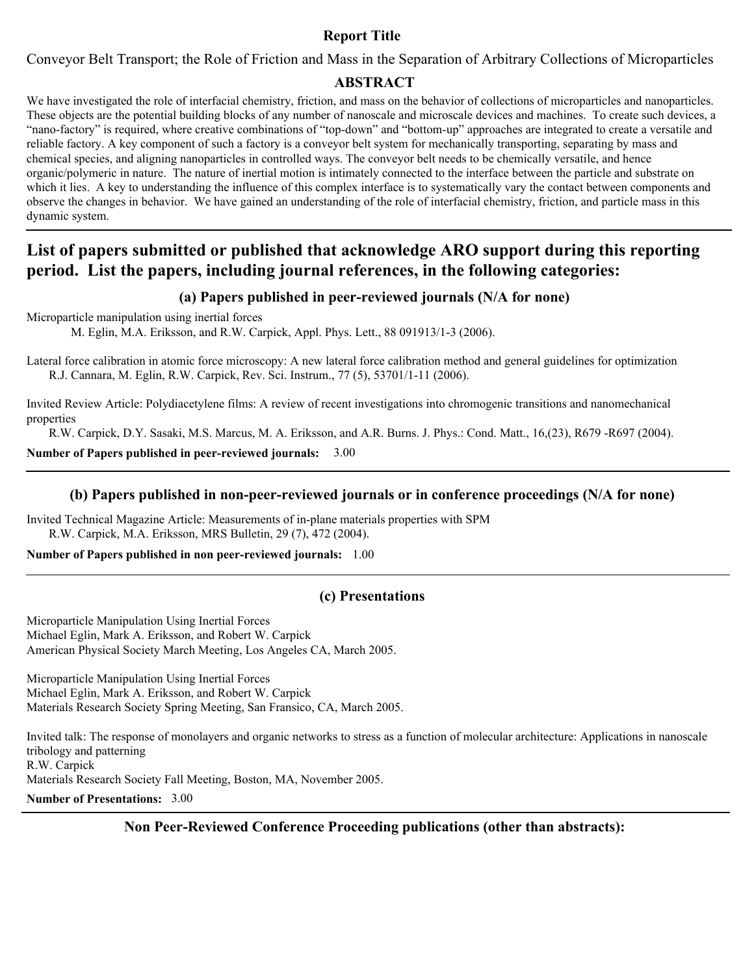# **Report Title**

Conveyor Belt Transport; the Role of Friction and Mass in the Separation of Arbitrary Collections of Microparticles

## **ABSTRACT**

We have investigated the role of interfacial chemistry, friction, and mass on the behavior of collections of microparticles and nanoparticles. These objects are the potential building blocks of any number of nanoscale and microscale devices and machines. To create such devices, a "nano-factory" is required, where creative combinations of "top-down" and "bottom-up" approaches are integrated to create a versatile and reliable factory. A key component of such a factory is a conveyor belt system for mechanically transporting, separating by mass and chemical species, and aligning nanoparticles in controlled ways. The conveyor belt needs to be chemically versatile, and hence organic/polymeric in nature. The nature of inertial motion is intimately connected to the interface between the particle and substrate on which it lies. A key to understanding the influence of this complex interface is to systematically vary the contact between components and observe the changes in behavior. We have gained an understanding of the role of interfacial chemistry, friction, and particle mass in this dynamic system.

# **List of papers submitted or published that acknowledge ARO support during this reporting period. List the papers, including journal references, in the following categories:**

## **(a) Papers published in peer-reviewed journals (N/A for none)**

Microparticle manipulation using inertial forces

M. Eglin, M.A. Eriksson, and R.W. Carpick, Appl. Phys. Lett., 88 091913/1-3 (2006).

Lateral force calibration in atomic force microscopy: A new lateral force calibration method and general guidelines for optimization R.J. Cannara, M. Eglin, R.W. Carpick, Rev. Sci. Instrum., 77 (5), 53701/1-11 (2006).

Invited Review Article: Polydiacetylene films: A review of recent investigations into chromogenic transitions and nanomechanical properties

R.W. Carpick, D.Y. Sasaki, M.S. Marcus, M. A. Eriksson, and A.R. Burns. J. Phys.: Cond. Matt., 16,(23), R679 -R697 (2004).

**Number of Papers published in peer-reviewed journals:** 3.00

#### **(b) Papers published in non-peer-reviewed journals or in conference proceedings (N/A for none)**

Invited Technical Magazine Article: Measurements of in-plane materials properties with SPM R.W. Carpick, M.A. Eriksson, MRS Bulletin, 29 (7), 472 (2004).

#### **Number of Papers published in non peer-reviewed journals:** 1.00

## **(c) Presentations**

Microparticle Manipulation Using Inertial Forces Michael Eglin, Mark A. Eriksson, and Robert W. Carpick American Physical Society March Meeting, Los Angeles CA, March 2005.

Microparticle Manipulation Using Inertial Forces Michael Eglin, Mark A. Eriksson, and Robert W. Carpick Materials Research Society Spring Meeting, San Fransico, CA, March 2005.

Invited talk: The response of monolayers and organic networks to stress as a function of molecular architecture: Applications in nanoscale tribology and patterning R.W. Carpick Materials Research Society Fall Meeting, Boston, MA, November 2005. **Number of Presentations:** 3.00

**Non Peer-Reviewed Conference Proceeding publications (other than abstracts):**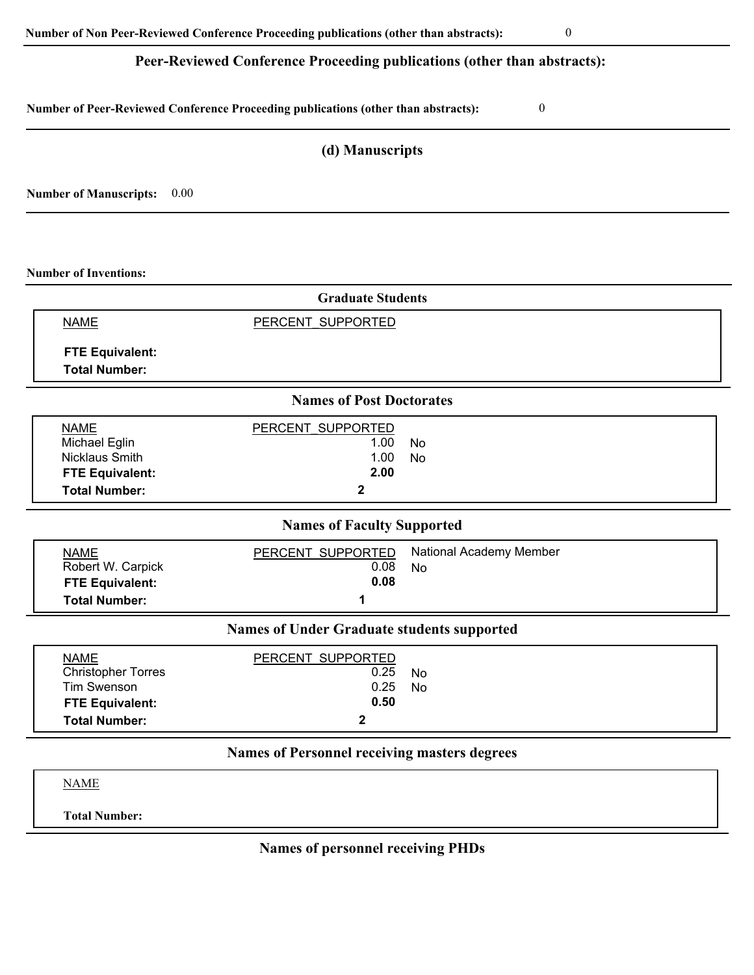# **Peer-Reviewed Conference Proceeding publications (other than abstracts):**

**Number of Peer-Reviewed Conference Proceeding publications (other than abstracts):** 0

# **(d) Manuscripts**

**Number of Manuscripts:** 0.00

**Number of Inventions:**

| <b>Graduate Students</b>                                                                                         |                                                |                               |  |  |  |  |  |
|------------------------------------------------------------------------------------------------------------------|------------------------------------------------|-------------------------------|--|--|--|--|--|
| <b>NAME</b>                                                                                                      | PERCENT SUPPORTED                              |                               |  |  |  |  |  |
| <b>FTE Equivalent:</b><br><b>Total Number:</b>                                                                   |                                                |                               |  |  |  |  |  |
| <b>Names of Post Doctorates</b>                                                                                  |                                                |                               |  |  |  |  |  |
| <b>NAME</b><br>Michael Eglin<br><b>Nicklaus Smith</b><br><b>FTE Equivalent:</b><br><b>Total Number:</b>          | PERCENT SUPPORTED<br>1.00<br>1.00<br>2.00<br>2 | <b>No</b><br><b>No</b>        |  |  |  |  |  |
| <b>Names of Faculty Supported</b>                                                                                |                                                |                               |  |  |  |  |  |
| <b>NAME</b><br>Robert W. Carpick<br><b>FTE Equivalent:</b><br><b>Total Number:</b>                               | PERCENT SUPPORTED<br>0.08<br>0.08<br>1         | National Academy Member<br>No |  |  |  |  |  |
| <b>Names of Under Graduate students supported</b>                                                                |                                                |                               |  |  |  |  |  |
| <b>NAME</b><br><b>Christopher Torres</b><br><b>Tim Swenson</b><br><b>FTE Equivalent:</b><br><b>Total Number:</b> | PERCENT SUPPORTED<br>0.25<br>0.25<br>0.50<br>2 | <b>No</b><br><b>No</b>        |  |  |  |  |  |
| <b>Names of Personnel receiving masters degrees</b>                                                              |                                                |                               |  |  |  |  |  |
| <b>NAME</b>                                                                                                      |                                                |                               |  |  |  |  |  |

**Total Number:**

**Names of personnel receiving PHDs**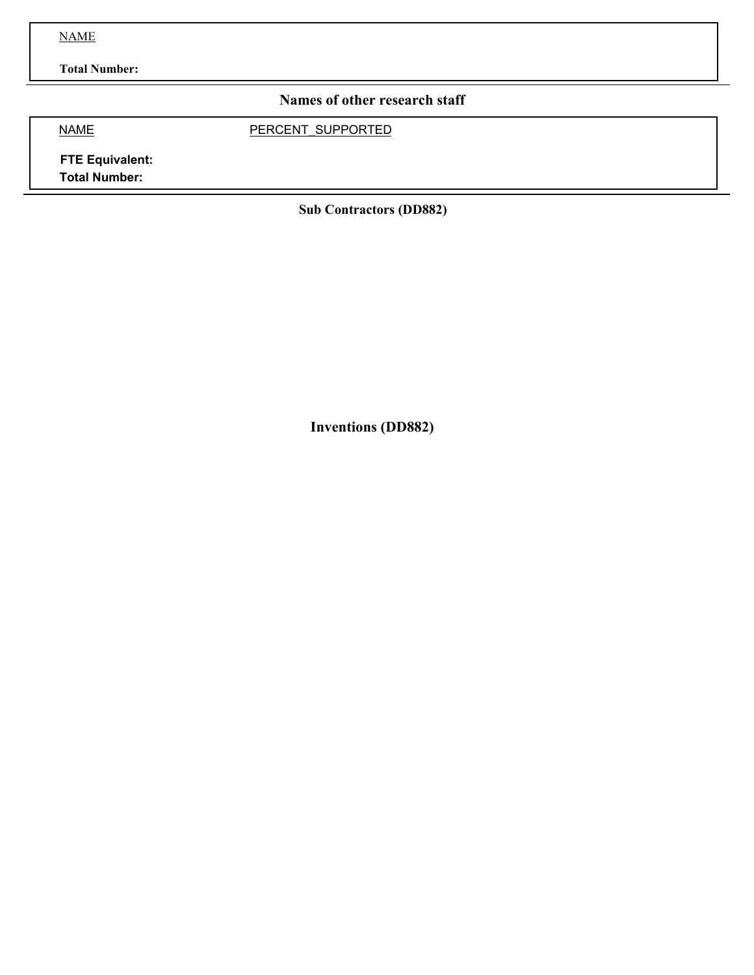NAME

**Total Number:**

# **Names of other research staff**

NAME PERCENT\_SUPPORTED

**FTE Equivalent: Total Number:**

**Sub Contractors (DD882)**

**Inventions (DD882)**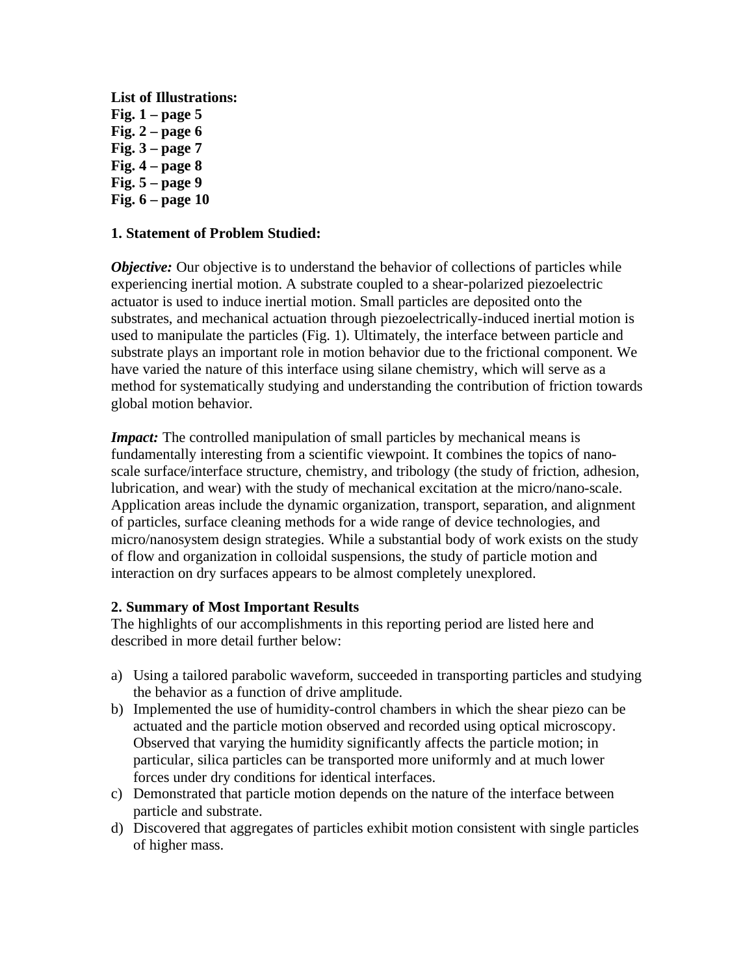**List of Illustrations: Fig. 1 – page 5 Fig. 2 – page 6 Fig. 3 – page 7 Fig. 4 – page 8 Fig. 5 – page 9 Fig. 6 – page 10**

## **1. Statement of Problem Studied:**

*Objective:* Our objective is to understand the behavior of collections of particles while experiencing inertial motion. A substrate coupled to a shear-polarized piezoelectric actuator is used to induce inertial motion. Small particles are deposited onto the substrates, and mechanical actuation through piezoelectrically-induced inertial motion is used to manipulate the particles (Fig. 1). Ultimately, the interface between particle and substrate plays an important role in motion behavior due to the frictional component. We have varied the nature of this interface using silane chemistry, which will serve as a method for systematically studying and understanding the contribution of friction towards global motion behavior.

*Impact:* The controlled manipulation of small particles by mechanical means is fundamentally interesting from a scientific viewpoint. It combines the topics of nanoscale surface/interface structure, chemistry, and tribology (the study of friction, adhesion, lubrication, and wear) with the study of mechanical excitation at the micro/nano-scale. Application areas include the dynamic organization, transport, separation, and alignment of particles, surface cleaning methods for a wide range of device technologies, and micro/nanosystem design strategies. While a substantial body of work exists on the study of flow and organization in colloidal suspensions, the study of particle motion and interaction on dry surfaces appears to be almost completely unexplored.

## **2. Summary of Most Important Results**

The highlights of our accomplishments in this reporting period are listed here and described in more detail further below:

- a) Using a tailored parabolic waveform, succeeded in transporting particles and studying the behavior as a function of drive amplitude.
- b) Implemented the use of humidity-control chambers in which the shear piezo can be actuated and the particle motion observed and recorded using optical microscopy. Observed that varying the humidity significantly affects the particle motion; in particular, silica particles can be transported more uniformly and at much lower forces under dry conditions for identical interfaces.
- c) Demonstrated that particle motion depends on the nature of the interface between particle and substrate.
- d) Discovered that aggregates of particles exhibit motion consistent with single particles of higher mass.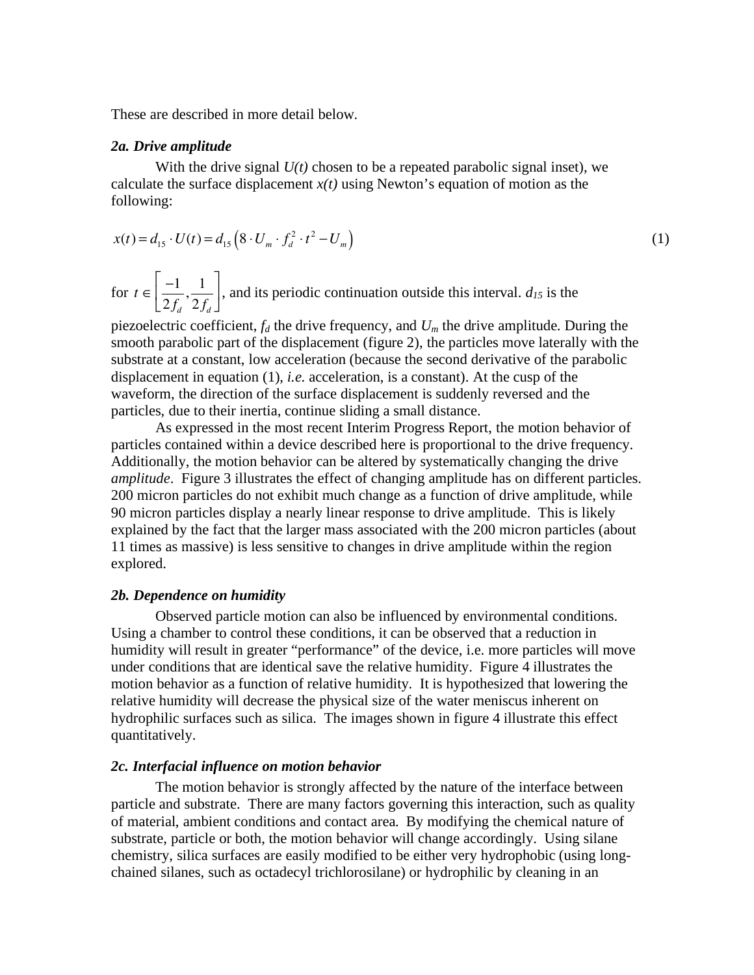These are described in more detail below.

#### *2a. Drive amplitude*

With the drive signal *U(t)* chosen to be a repeated parabolic signal inset), we calculate the surface displacement  $x(t)$  using Newton's equation of motion as the following:

$$
x(t) = d_{15} \cdot U(t) = d_{15} \left( 8 \cdot U_m \cdot f_d^2 \cdot t^2 - U_m \right)
$$
 (1)

for  $t \in \left| \frac{-1}{2\pi} \right|$  $2 f_d$  $\frac{1}{\cdot}$  $2 f_d$  $\mathbf{r}$  $\mathsf{L}% _{0}\left( \mathsf{L}_{1}\right)$  $\left[\frac{-1}{2f_d}, \frac{1}{2f_d}\right]$ , and its periodic continuation outside this interval.  $d_{15}$  is the

piezoelectric coefficient,  $f_d$  the drive frequency, and  $U_m$  the drive amplitude. During the smooth parabolic part of the displacement (figure 2), the particles move laterally with the substrate at a constant, low acceleration (because the second derivative of the parabolic displacement in equation (1), *i.e.* acceleration, is a constant). At the cusp of the waveform, the direction of the surface displacement is suddenly reversed and the particles, due to their inertia, continue sliding a small distance.

As expressed in the most recent Interim Progress Report, the motion behavior of particles contained within a device described here is proportional to the drive frequency. Additionally, the motion behavior can be altered by systematically changing the drive *amplitude*. Figure 3 illustrates the effect of changing amplitude has on different particles. 200 micron particles do not exhibit much change as a function of drive amplitude, while 90 micron particles display a nearly linear response to drive amplitude. This is likely explained by the fact that the larger mass associated with the 200 micron particles (about 11 times as massive) is less sensitive to changes in drive amplitude within the region explored.

#### *2b. Dependence on humidity*

Observed particle motion can also be influenced by environmental conditions. Using a chamber to control these conditions, it can be observed that a reduction in humidity will result in greater "performance" of the device, i.e. more particles will move under conditions that are identical save the relative humidity. Figure 4 illustrates the motion behavior as a function of relative humidity. It is hypothesized that lowering the relative humidity will decrease the physical size of the water meniscus inherent on hydrophilic surfaces such as silica. The images shown in figure 4 illustrate this effect quantitatively.

#### *2c. Interfacial influence on motion behavior*

The motion behavior is strongly affected by the nature of the interface between particle and substrate. There are many factors governing this interaction, such as quality of material, ambient conditions and contact area. By modifying the chemical nature of substrate, particle or both, the motion behavior will change accordingly. Using silane chemistry, silica surfaces are easily modified to be either very hydrophobic (using longchained silanes, such as octadecyl trichlorosilane) or hydrophilic by cleaning in an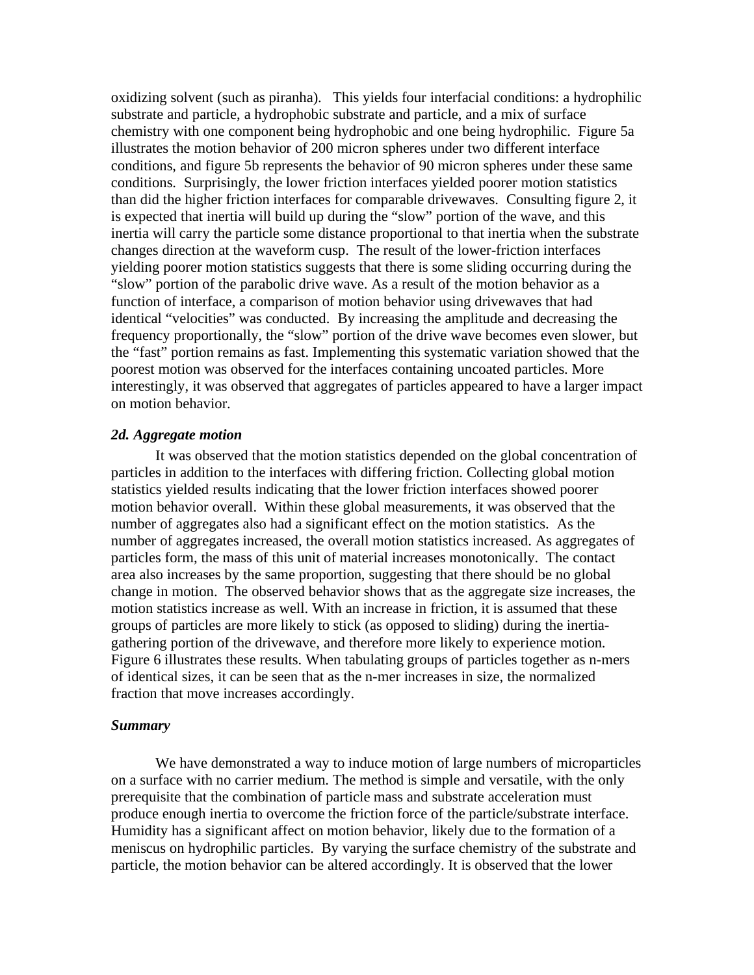oxidizing solvent (such as piranha). This yields four interfacial conditions: a hydrophilic substrate and particle, a hydrophobic substrate and particle, and a mix of surface chemistry with one component being hydrophobic and one being hydrophilic. Figure 5a illustrates the motion behavior of 200 micron spheres under two different interface conditions, and figure 5b represents the behavior of 90 micron spheres under these same conditions. Surprisingly, the lower friction interfaces yielded poorer motion statistics than did the higher friction interfaces for comparable drivewaves. Consulting figure 2, it is expected that inertia will build up during the "slow" portion of the wave, and this inertia will carry the particle some distance proportional to that inertia when the substrate changes direction at the waveform cusp. The result of the lower-friction interfaces yielding poorer motion statistics suggests that there is some sliding occurring during the "slow" portion of the parabolic drive wave. As a result of the motion behavior as a function of interface, a comparison of motion behavior using drivewaves that had identical "velocities" was conducted. By increasing the amplitude and decreasing the frequency proportionally, the "slow" portion of the drive wave becomes even slower, but the "fast" portion remains as fast. Implementing this systematic variation showed that the poorest motion was observed for the interfaces containing uncoated particles. More interestingly, it was observed that aggregates of particles appeared to have a larger impact on motion behavior.

#### *2d. Aggregate motion*

It was observed that the motion statistics depended on the global concentration of particles in addition to the interfaces with differing friction. Collecting global motion statistics yielded results indicating that the lower friction interfaces showed poorer motion behavior overall. Within these global measurements, it was observed that the number of aggregates also had a significant effect on the motion statistics. As the number of aggregates increased, the overall motion statistics increased. As aggregates of particles form, the mass of this unit of material increases monotonically. The contact area also increases by the same proportion, suggesting that there should be no global change in motion. The observed behavior shows that as the aggregate size increases, the motion statistics increase as well. With an increase in friction, it is assumed that these groups of particles are more likely to stick (as opposed to sliding) during the inertiagathering portion of the drivewave, and therefore more likely to experience motion. Figure 6 illustrates these results. When tabulating groups of particles together as n-mers of identical sizes, it can be seen that as the n-mer increases in size, the normalized fraction that move increases accordingly.

#### *Summary*

We have demonstrated a way to induce motion of large numbers of microparticles on a surface with no carrier medium. The method is simple and versatile, with the only prerequisite that the combination of particle mass and substrate acceleration must produce enough inertia to overcome the friction force of the particle/substrate interface. Humidity has a significant affect on motion behavior, likely due to the formation of a meniscus on hydrophilic particles. By varying the surface chemistry of the substrate and particle, the motion behavior can be altered accordingly. It is observed that the lower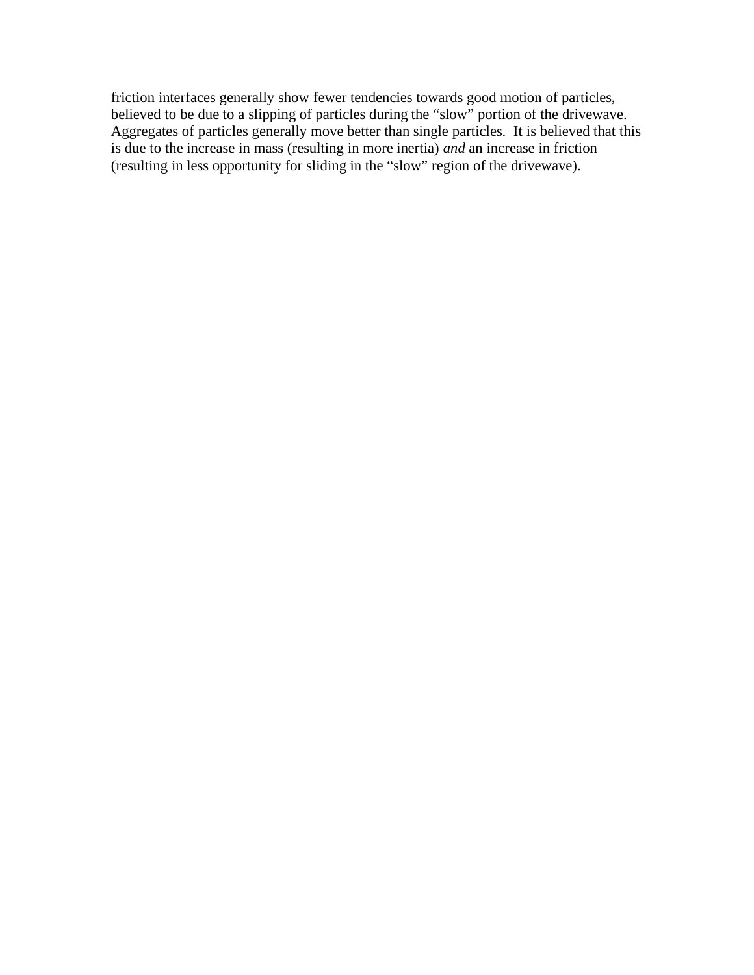friction interfaces generally show fewer tendencies towards good motion of particles, believed to be due to a slipping of particles during the "slow" portion of the drivewave. Aggregates of particles generally move better than single particles. It is believed that this is due to the increase in mass (resulting in more inertia) *and* an increase in friction (resulting in less opportunity for sliding in the "slow" region of the drivewave).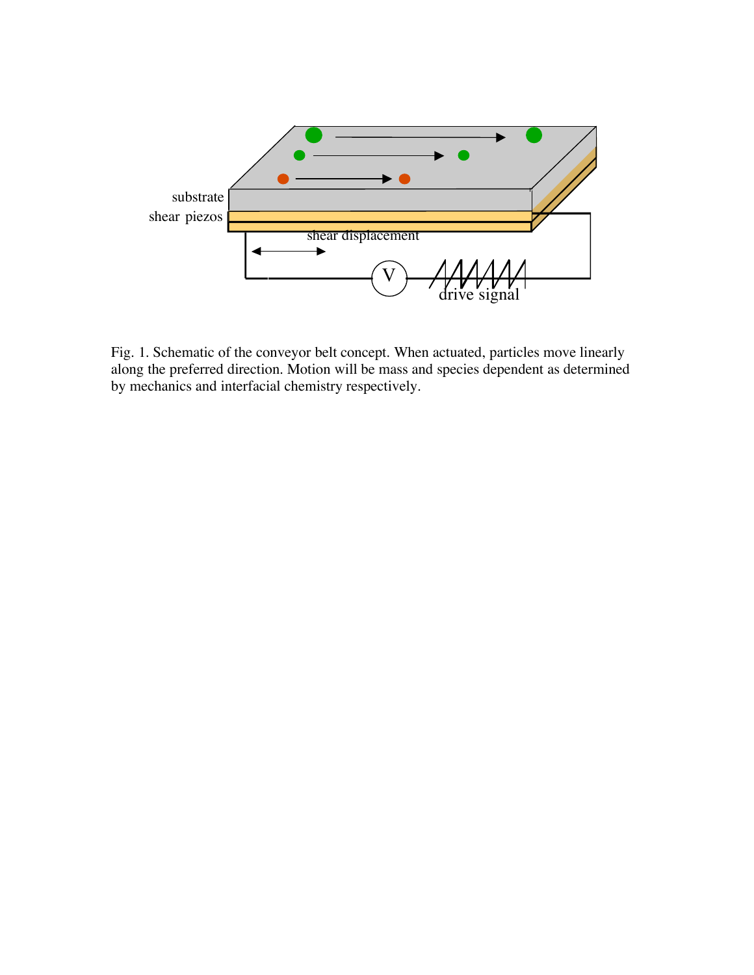

Fig. 1. Schematic of the conveyor belt concept. When actuated, particles move linearly along the preferred direction. Motion will be mass and species dependent as determined by mechanics and interfacial chemistry respectively.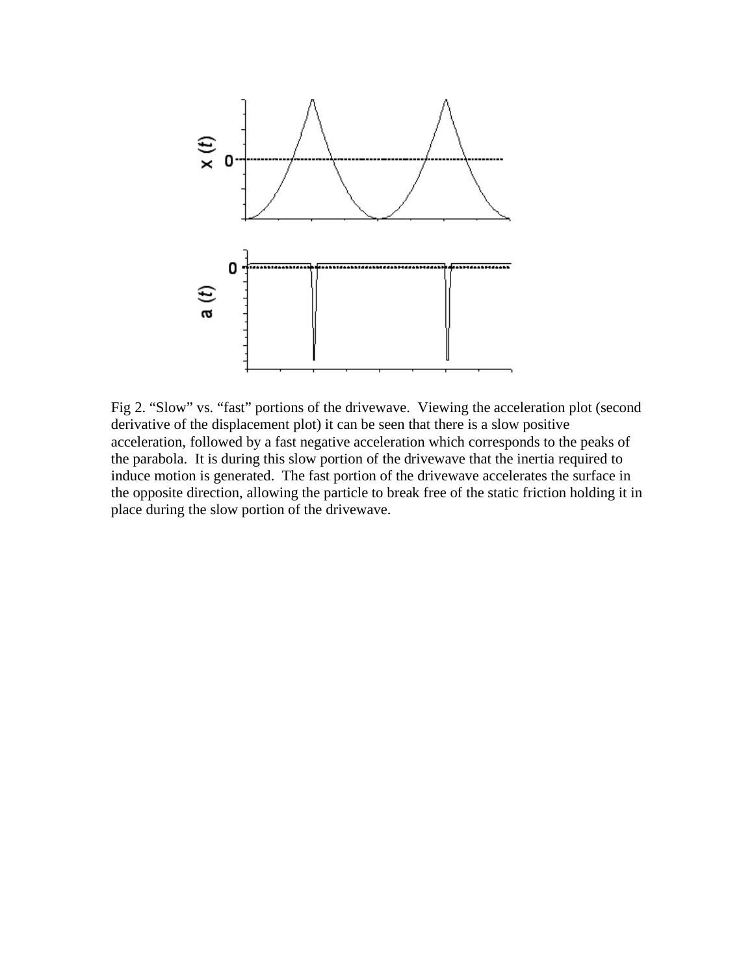

Fig 2. "Slow" vs. "fast" portions of the drivewave. Viewing the acceleration plot (second derivative of the displacement plot) it can be seen that there is a slow positive acceleration, followed by a fast negative acceleration which corresponds to the peaks of the parabola. It is during this slow portion of the drivewave that the inertia required to induce motion is generated. The fast portion of the drivewave accelerates the surface in the opposite direction, allowing the particle to break free of the static friction holding it in place during the slow portion of the drivewave.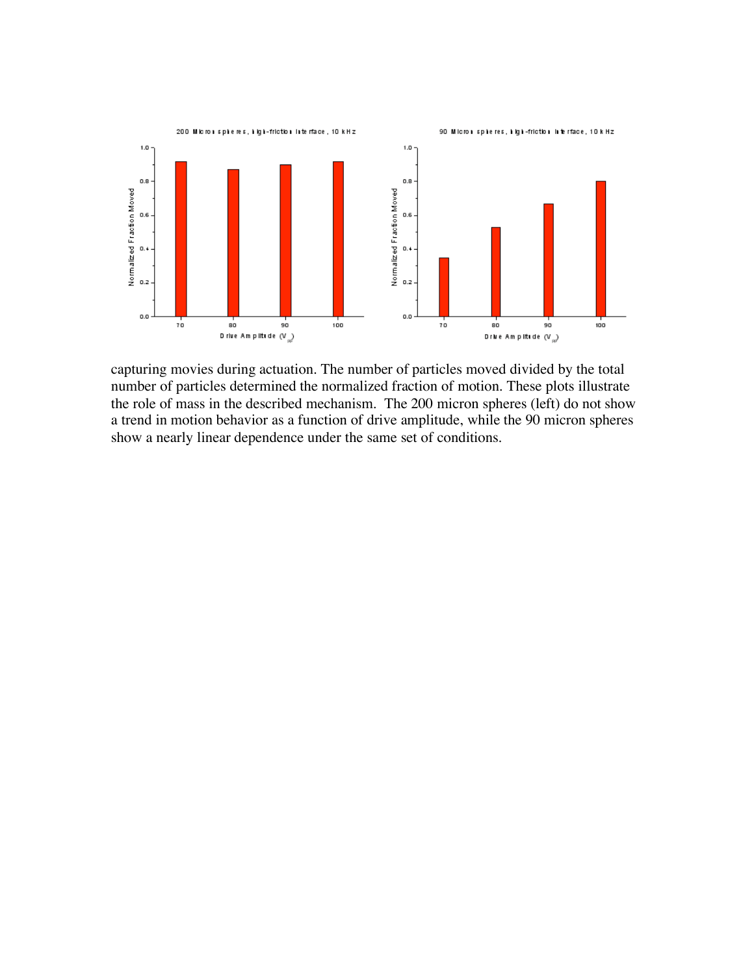

capturing movies during actuation. The number of particles moved divided by the total number of particles determined the normalized fraction of motion. These plots illustrate the role of mass in the described mechanism. The 200 micron spheres (left) do not show a trend in motion behavior as a function of drive amplitude, while the 90 micron spheres show a nearly linear dependence under the same set of conditions.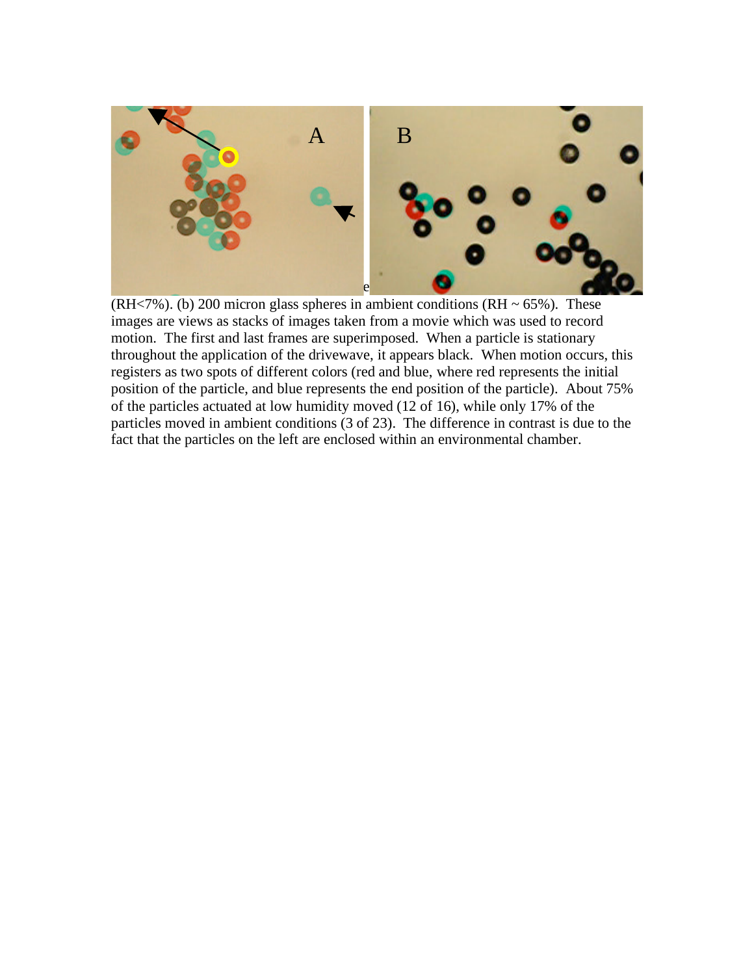

(RH<7%). (b) 200 micron glass spheres in ambient conditions (RH  $\sim$  65%). These images are views as stacks of images taken from a movie which was used to record motion. The first and last frames are superimposed. When a particle is stationary throughout the application of the drivewave, it appears black. When motion occurs, this registers as two spots of different colors (red and blue, where red represents the initial position of the particle, and blue represents the end position of the particle). About 75% of the particles actuated at low humidity moved (12 of 16), while only 17% of the particles moved in ambient conditions (3 of 23). The difference in contrast is due to the fact that the particles on the left are enclosed within an environmental chamber.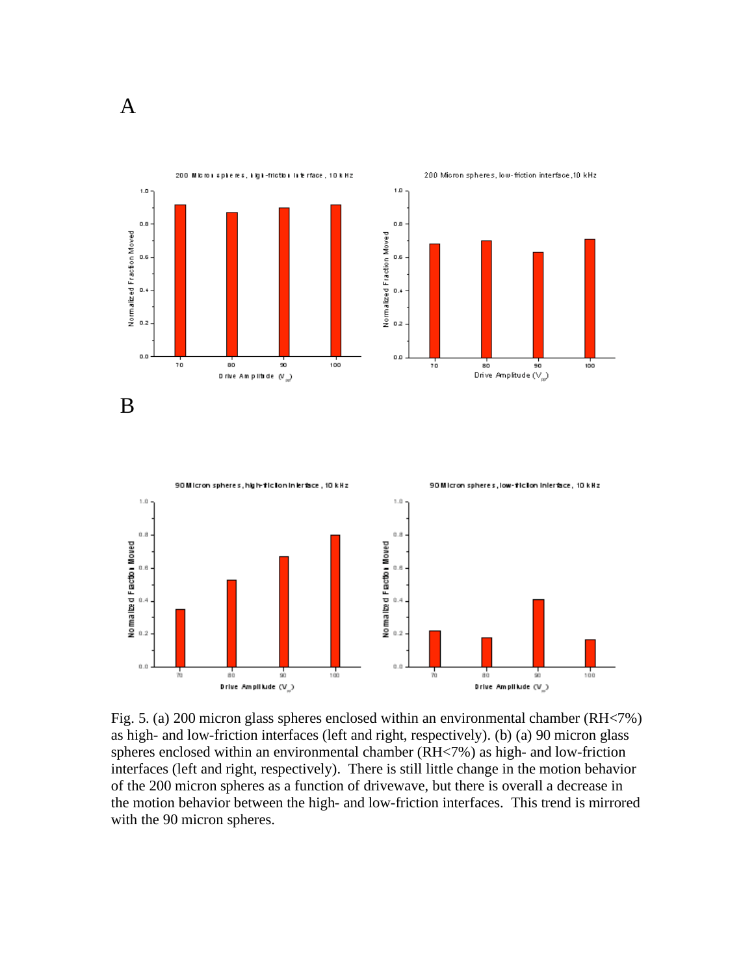



Fig. 5. (a) 200 micron glass spheres enclosed within an environmental chamber (RH<7%) as high- and low-friction interfaces (left and right, respectively). (b) (a) 90 micron glass spheres enclosed within an environmental chamber (RH<7%) as high- and low-friction interfaces (left and right, respectively). There is still little change in the motion behavior of the 200 micron spheres as a function of drivewave, but there is overall a decrease in the motion behavior between the high- and low-friction interfaces. This trend is mirrored with the 90 micron spheres.